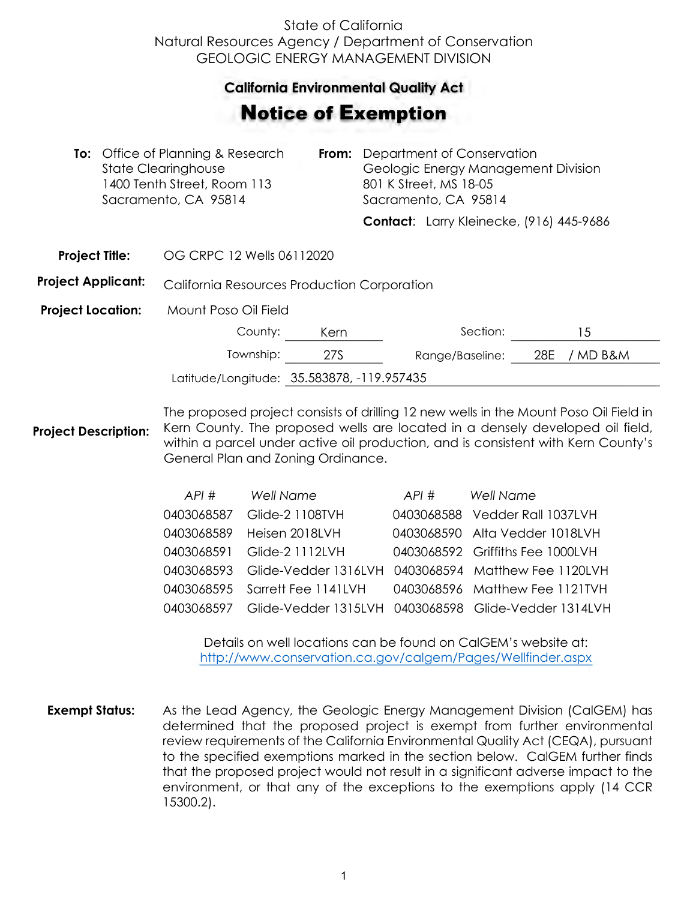## State of California Natural Resources Agency / Department of Conservation GEOLOGIC ENERGY MANAGEMENT DIVISION

## **California Environmental Quality Act**  California Environmental Quality Act

## Notice of Exemption **otice of Exemption**

| <b>To:</b> Office of Planning & Research<br>From:<br>State Clearinghouse<br>1400 Tenth Street, Room 113<br>Sacramento, CA 95814 |                           | Department of Conservation<br>Geologic Energy Management Division<br>801 K Street, MS 18-05<br>Sacramento, CA 95814 |  |                                          |     |        |
|---------------------------------------------------------------------------------------------------------------------------------|---------------------------|---------------------------------------------------------------------------------------------------------------------|--|------------------------------------------|-----|--------|
|                                                                                                                                 |                           |                                                                                                                     |  | Contact: Larry Kleinecke, (916) 445-9686 |     |        |
| <b>Project Title:</b>                                                                                                           | OG CRPC 12 Wells 06112020 |                                                                                                                     |  |                                          |     |        |
| <b>Project Applicant:</b><br>California Resources Production Corporation                                                        |                           |                                                                                                                     |  |                                          |     |        |
| <b>Project Location:</b>                                                                                                        | Mount Poso Oil Field      |                                                                                                                     |  |                                          |     |        |
|                                                                                                                                 | County:                   | Kern                                                                                                                |  | Section:                                 |     | 15     |
|                                                                                                                                 | Township:                 | <b>27S</b>                                                                                                          |  | Range/Baseline:                          | 28E | MD B&M |

**Project Description:** The proposed project consists of drilling 12 new wells in the Mount Poso Oil Field in Kern County. The proposed wells are located in a densely developed oil field, within a parcel under active oil production, and is consistent with Kern County's General Plan and Zoning Ordinance.

Latitude/Longitude: 35.583878, -119.957435

| API #      | <b>Well Name</b>                                                | API # | Well Name                        |
|------------|-----------------------------------------------------------------|-------|----------------------------------|
| 0403068587 | Glide-2 1108TVH                                                 |       | 0403068588 Vedder Rall 1037LVH   |
|            | 0403068589 Heisen 2018LVH                                       |       | 0403068590 Alta Vedder 1018LVH   |
|            | 0403068591 Glide-2 1112LVH                                      |       | 0403068592 Griffiths Fee 1000LVH |
|            | 0403068593 Glide-Vedder 1316LVH 0403068594 Matthew Fee 1120LVH  |       |                                  |
|            | 0403068595 Sarrett Fee 1141LVH                                  |       | 0403068596 Matthew Fee 1121TVH   |
|            | 0403068597 Glide-Vedder 1315LVH 0403068598 Glide-Vedder 1314LVH |       |                                  |

Details on well locations can be found on CalGEM's website at: <http://www.conservation.ca.gov/calgem/Pages/Wellfinder.aspx>

**Exempt Status:** As the Lead Agency, the Geologic Energy Management Division (CalGEM) has determined that the proposed project is exempt from further environmental review requirements of the California Environmental Quality Act (CEQA), pursuant to the specified exemptions marked in the section below. CalGEM further finds that the proposed project would not result in a significant adverse impact to the environment, or that any of the exceptions to the exemptions apply (14 CCR 15300.2).